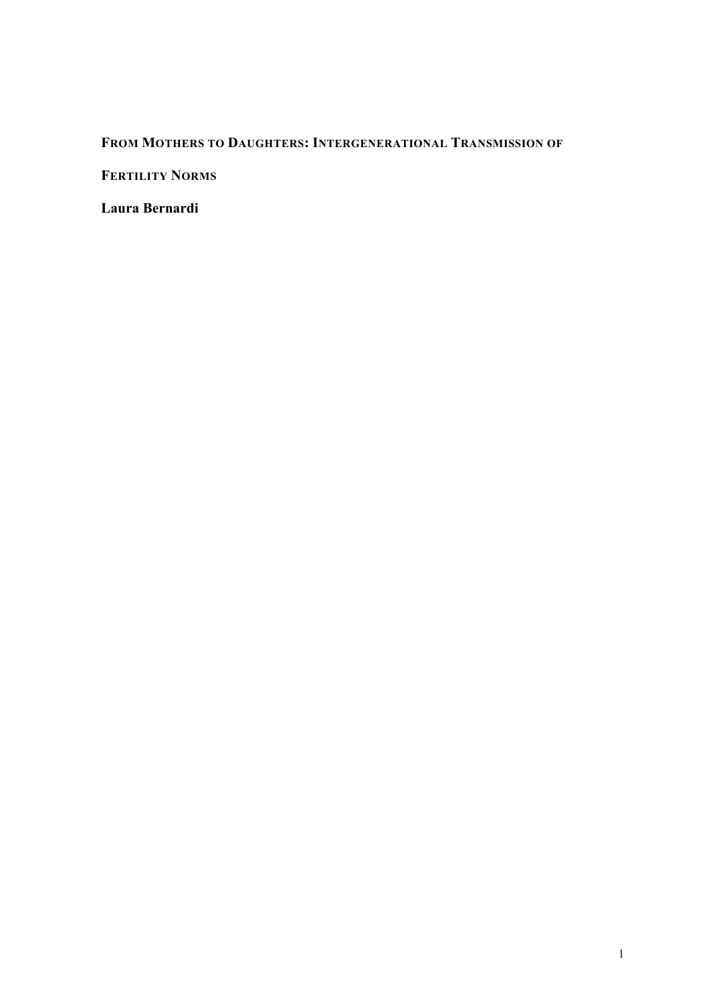## **FROM MOTHERS TO DAUGHTERS: INTERGENERATIONAL TRANSMISSION OF**

**FERTILITY NORMS** 

**Laura Bernardi**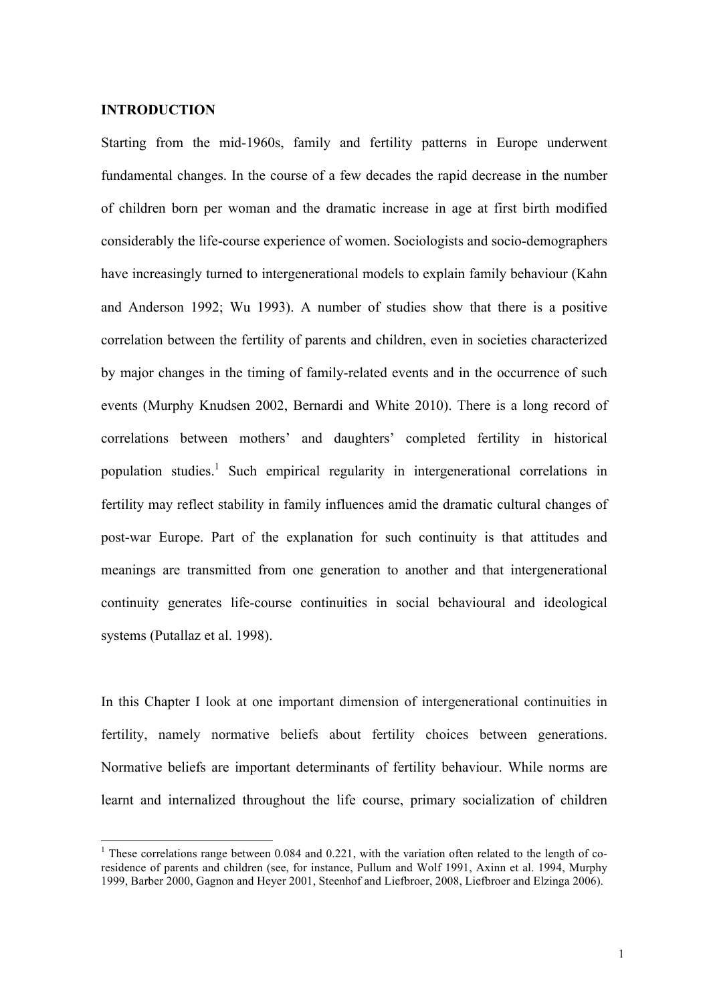#### **INTRODUCTION**

Starting from the mid-1960s, family and fertility patterns in Europe underwent fundamental changes. In the course of a few decades the rapid decrease in the number of children born per woman and the dramatic increase in age at first birth modified considerably the life-course experience of women. Sociologists and socio-demographers have increasingly turned to intergenerational models to explain family behaviour (Kahn and Anderson 1992; Wu 1993). A number of studies show that there is a positive correlation between the fertility of parents and children, even in societies characterized by major changes in the timing of family-related events and in the occurrence of such events (Murphy Knudsen 2002, Bernardi and White 2010). There is a long record of correlations between mothers' and daughters' completed fertility in historical population studies.<sup>1</sup> Such empirical regularity in intergenerational correlations in fertility may reflect stability in family influences amid the dramatic cultural changes of post-war Europe. Part of the explanation for such continuity is that attitudes and meanings are transmitted from one generation to another and that intergenerational continuity generates life-course continuities in social behavioural and ideological systems (Putallaz et al. 1998).

In this Chapter I look at one important dimension of intergenerational continuities in fertility, namely normative beliefs about fertility choices between generations. Normative beliefs are important determinants of fertility behaviour. While norms are learnt and internalized throughout the life course, primary socialization of children

 $1$  These correlations range between 0.084 and 0.221, with the variation often related to the length of coresidence of parents and children (see, for instance, Pullum and Wolf 1991, Axinn et al. 1994, Murphy 1999, Barber 2000, Gagnon and Heyer 2001, Steenhof and Liefbroer, 2008, Liefbroer and Elzinga 2006).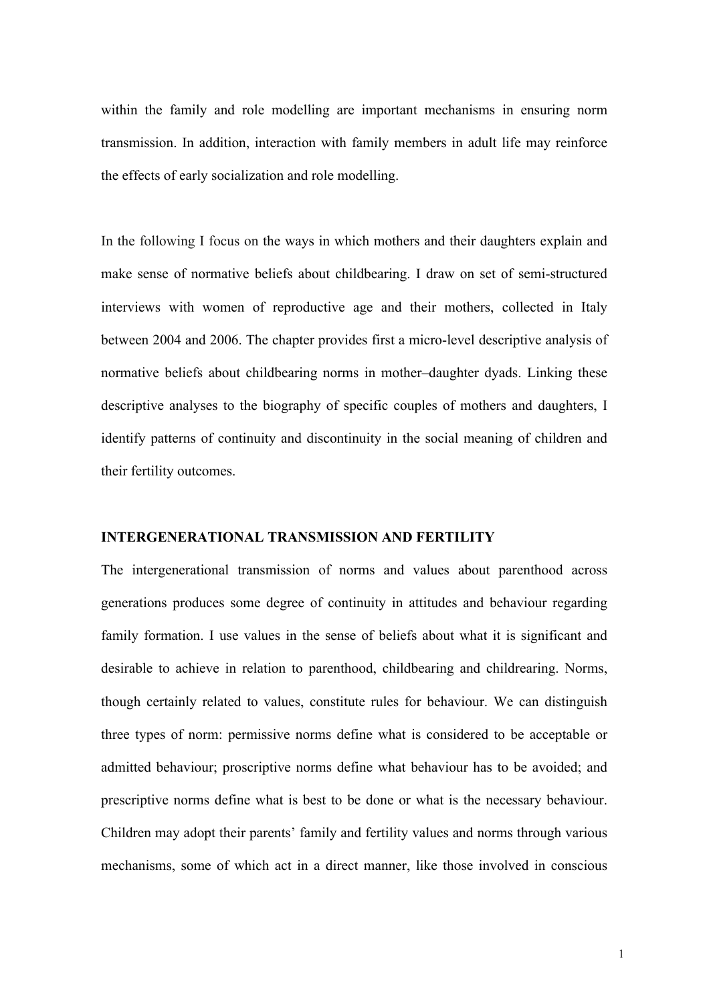within the family and role modelling are important mechanisms in ensuring norm transmission. In addition, interaction with family members in adult life may reinforce the effects of early socialization and role modelling.

In the following I focus on the ways in which mothers and their daughters explain and make sense of normative beliefs about childbearing. I draw on set of semi-structured interviews with women of reproductive age and their mothers, collected in Italy between 2004 and 2006. The chapter provides first a micro-level descriptive analysis of normative beliefs about childbearing norms in mother–daughter dyads. Linking these descriptive analyses to the biography of specific couples of mothers and daughters, I identify patterns of continuity and discontinuity in the social meaning of children and their fertility outcomes.

#### **INTERGENERATIONAL TRANSMISSION AND FERTILITY**

The intergenerational transmission of norms and values about parenthood across generations produces some degree of continuity in attitudes and behaviour regarding family formation. I use values in the sense of beliefs about what it is significant and desirable to achieve in relation to parenthood, childbearing and childrearing. Norms, though certainly related to values, constitute rules for behaviour. We can distinguish three types of norm: permissive norms define what is considered to be acceptable or admitted behaviour; proscriptive norms define what behaviour has to be avoided; and prescriptive norms define what is best to be done or what is the necessary behaviour. Children may adopt their parents' family and fertility values and norms through various mechanisms, some of which act in a direct manner, like those involved in conscious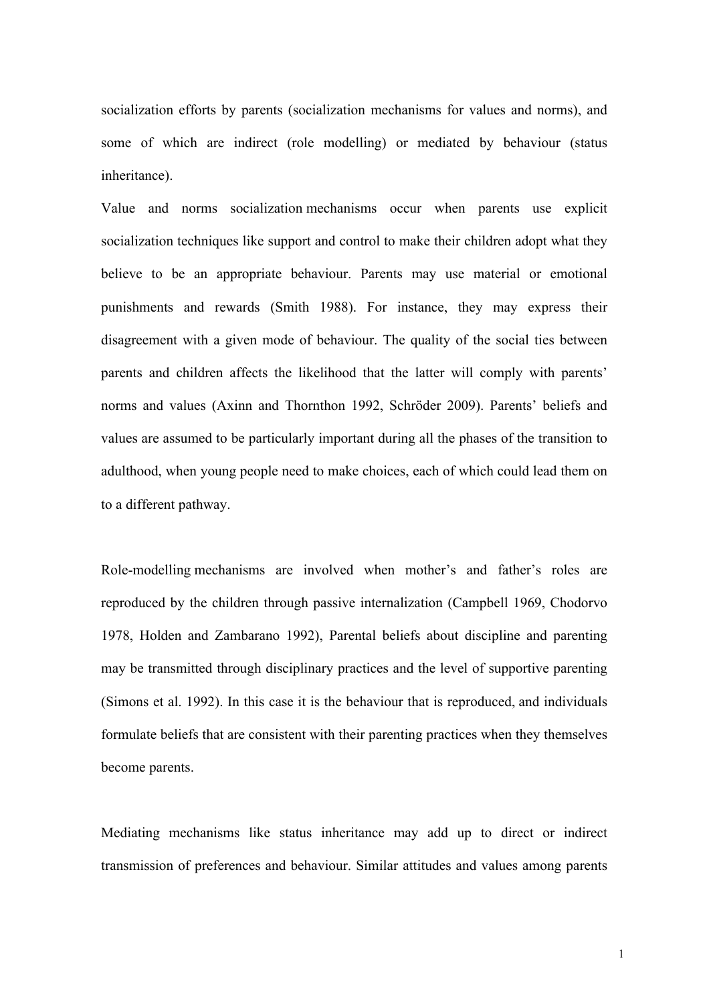socialization efforts by parents (socialization mechanisms for values and norms), and some of which are indirect (role modelling) or mediated by behaviour (status inheritance).

Value and norms socialization mechanisms occur when parents use explicit socialization techniques like support and control to make their children adopt what they believe to be an appropriate behaviour. Parents may use material or emotional punishments and rewards (Smith 1988). For instance, they may express their disagreement with a given mode of behaviour. The quality of the social ties between parents and children affects the likelihood that the latter will comply with parents' norms and values (Axinn and Thornthon 1992, Schröder 2009). Parents' beliefs and values are assumed to be particularly important during all the phases of the transition to adulthood, when young people need to make choices, each of which could lead them on to a different pathway.

Role-modelling mechanisms are involved when mother's and father's roles are reproduced by the children through passive internalization (Campbell 1969, Chodorvo 1978, Holden and Zambarano 1992), Parental beliefs about discipline and parenting may be transmitted through disciplinary practices and the level of supportive parenting (Simons et al. 1992). In this case it is the behaviour that is reproduced, and individuals formulate beliefs that are consistent with their parenting practices when they themselves become parents.

Mediating mechanisms like status inheritance may add up to direct or indirect transmission of preferences and behaviour. Similar attitudes and values among parents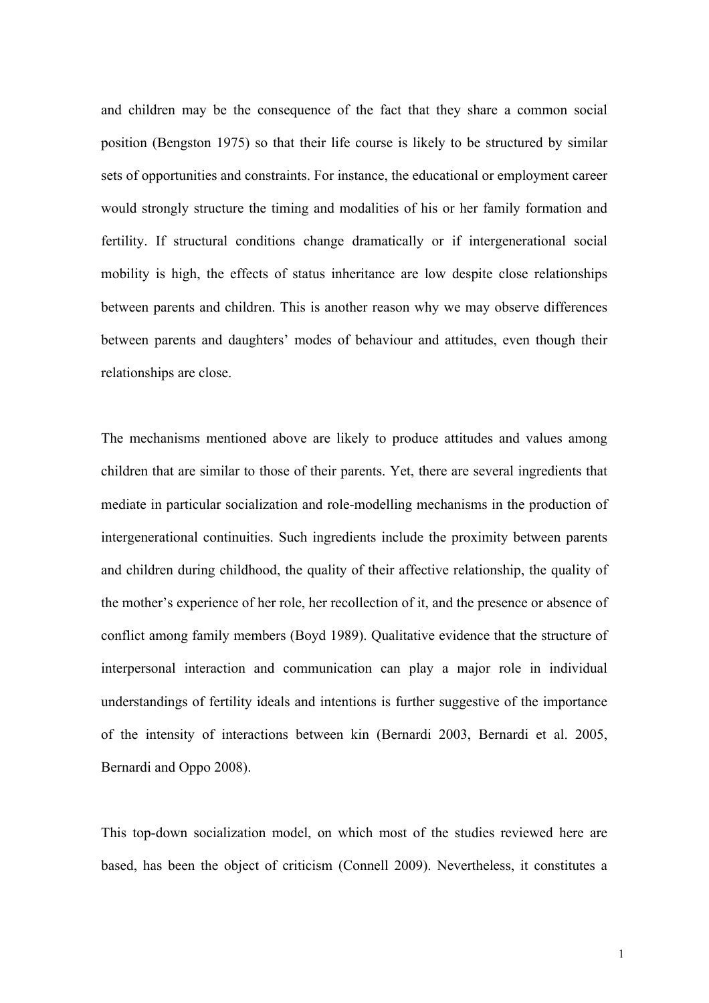and children may be the consequence of the fact that they share a common social position (Bengston 1975) so that their life course is likely to be structured by similar sets of opportunities and constraints. For instance, the educational or employment career would strongly structure the timing and modalities of his or her family formation and fertility. If structural conditions change dramatically or if intergenerational social mobility is high, the effects of status inheritance are low despite close relationships between parents and children. This is another reason why we may observe differences between parents and daughters' modes of behaviour and attitudes, even though their relationships are close.

The mechanisms mentioned above are likely to produce attitudes and values among children that are similar to those of their parents. Yet, there are several ingredients that mediate in particular socialization and role-modelling mechanisms in the production of intergenerational continuities. Such ingredients include the proximity between parents and children during childhood, the quality of their affective relationship, the quality of the mother's experience of her role, her recollection of it, and the presence or absence of conflict among family members (Boyd 1989). Qualitative evidence that the structure of interpersonal interaction and communication can play a major role in individual understandings of fertility ideals and intentions is further suggestive of the importance of the intensity of interactions between kin (Bernardi 2003, Bernardi et al. 2005, Bernardi and Oppo 2008).

This top-down socialization model, on which most of the studies reviewed here are based, has been the object of criticism (Connell 2009). Nevertheless, it constitutes a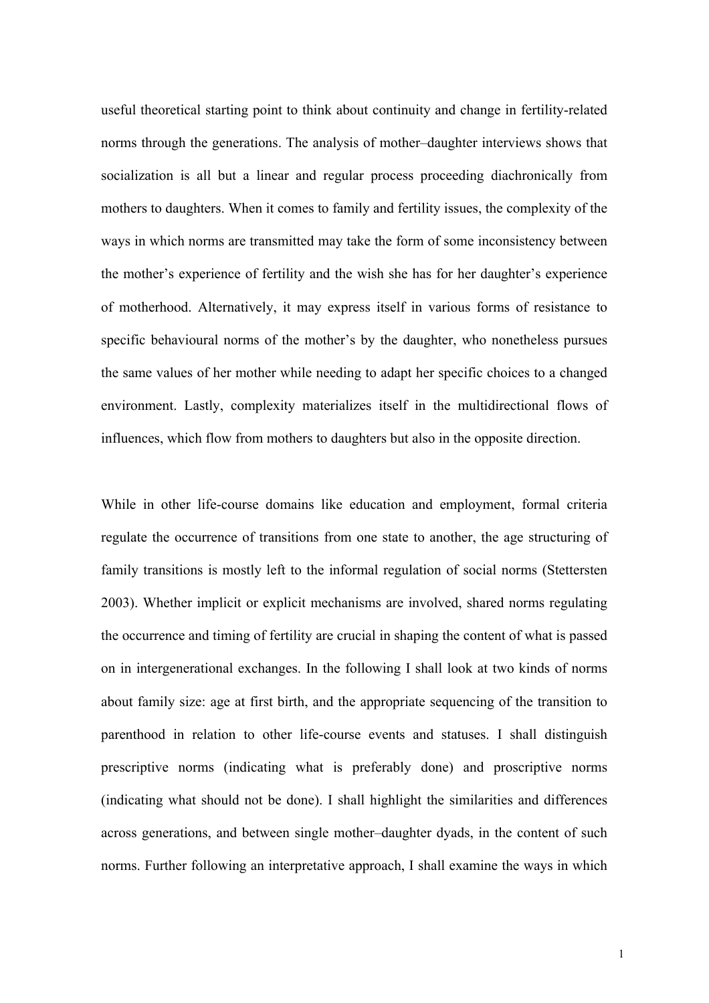useful theoretical starting point to think about continuity and change in fertility-related norms through the generations. The analysis of mother–daughter interviews shows that socialization is all but a linear and regular process proceeding diachronically from mothers to daughters. When it comes to family and fertility issues, the complexity of the ways in which norms are transmitted may take the form of some inconsistency between the mother's experience of fertility and the wish she has for her daughter's experience of motherhood. Alternatively, it may express itself in various forms of resistance to specific behavioural norms of the mother's by the daughter, who nonetheless pursues the same values of her mother while needing to adapt her specific choices to a changed environment. Lastly, complexity materializes itself in the multidirectional flows of influences, which flow from mothers to daughters but also in the opposite direction.

While in other life-course domains like education and employment, formal criteria regulate the occurrence of transitions from one state to another, the age structuring of family transitions is mostly left to the informal regulation of social norms (Stettersten 2003). Whether implicit or explicit mechanisms are involved, shared norms regulating the occurrence and timing of fertility are crucial in shaping the content of what is passed on in intergenerational exchanges. In the following I shall look at two kinds of norms about family size: age at first birth, and the appropriate sequencing of the transition to parenthood in relation to other life-course events and statuses. I shall distinguish prescriptive norms (indicating what is preferably done) and proscriptive norms (indicating what should not be done). I shall highlight the similarities and differences across generations, and between single mother–daughter dyads, in the content of such norms. Further following an interpretative approach, I shall examine the ways in which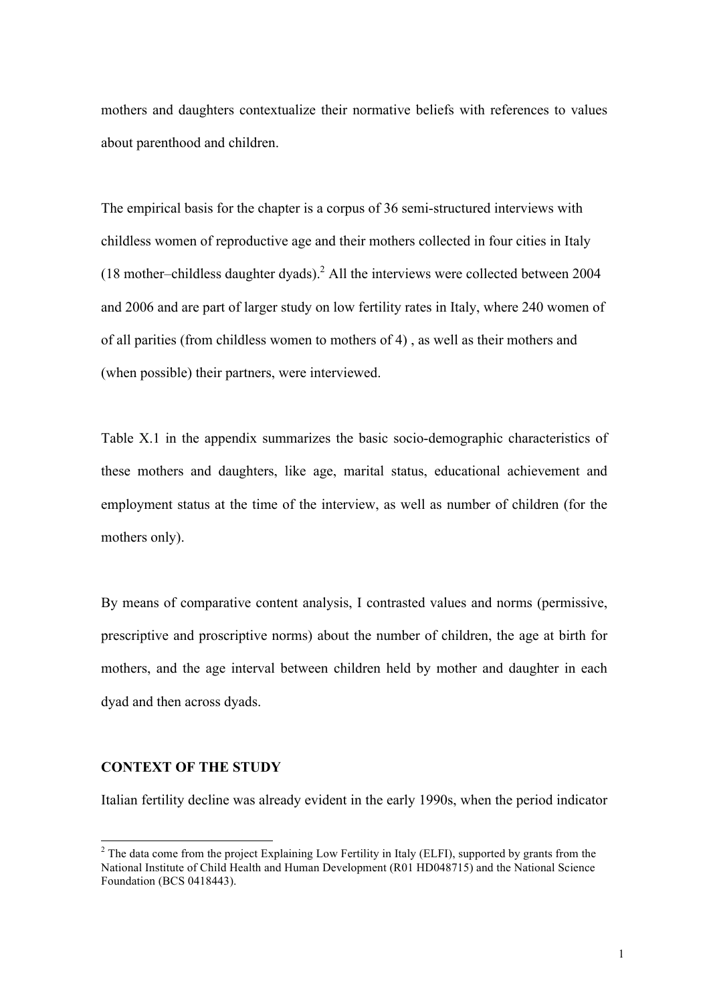mothers and daughters contextualize their normative beliefs with references to values about parenthood and children.

The empirical basis for the chapter is a corpus of 36 semi-structured interviews with childless women of reproductive age and their mothers collected in four cities in Italy (18 mother–childless daughter dyads).<sup>2</sup> All the interviews were collected between 2004 and 2006 and are part of larger study on low fertility rates in Italy, where 240 women of of all parities (from childless women to mothers of 4) , as well as their mothers and (when possible) their partners, were interviewed.

Table X.1 in the appendix summarizes the basic socio-demographic characteristics of these mothers and daughters, like age, marital status, educational achievement and employment status at the time of the interview, as well as number of children (for the mothers only).

By means of comparative content analysis, I contrasted values and norms (permissive, prescriptive and proscriptive norms) about the number of children, the age at birth for mothers, and the age interval between children held by mother and daughter in each dyad and then across dyads.

## **CONTEXT OF THE STUDY**

Italian fertility decline was already evident in the early 1990s, when the period indicator

<sup>&</sup>lt;sup>2</sup> The data come from the project Explaining Low Fertility in Italy (ELFI), supported by grants from the National Institute of Child Health and Human Development (R01 HD048715) and the National Science Foundation (BCS 0418443).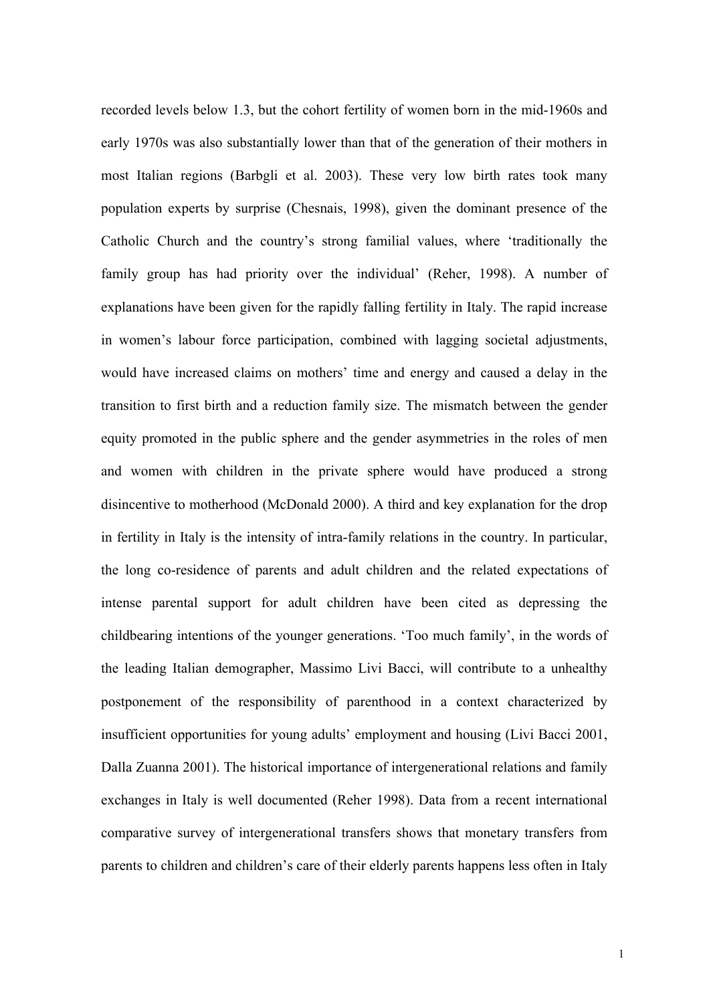recorded levels below 1.3, but the cohort fertility of women born in the mid-1960s and early 1970s was also substantially lower than that of the generation of their mothers in most Italian regions (Barbgli et al. 2003). These very low birth rates took many population experts by surprise (Chesnais, 1998), given the dominant presence of the Catholic Church and the country's strong familial values, where 'traditionally the family group has had priority over the individual' (Reher, 1998). A number of explanations have been given for the rapidly falling fertility in Italy. The rapid increase in women's labour force participation, combined with lagging societal adjustments, would have increased claims on mothers' time and energy and caused a delay in the transition to first birth and a reduction family size. The mismatch between the gender equity promoted in the public sphere and the gender asymmetries in the roles of men and women with children in the private sphere would have produced a strong disincentive to motherhood (McDonald 2000). A third and key explanation for the drop in fertility in Italy is the intensity of intra-family relations in the country. In particular, the long co-residence of parents and adult children and the related expectations of intense parental support for adult children have been cited as depressing the childbearing intentions of the younger generations. 'Too much family', in the words of the leading Italian demographer, Massimo Livi Bacci, will contribute to a unhealthy postponement of the responsibility of parenthood in a context characterized by insufficient opportunities for young adults' employment and housing (Livi Bacci 2001, Dalla Zuanna 2001). The historical importance of intergenerational relations and family exchanges in Italy is well documented (Reher 1998). Data from a recent international comparative survey of intergenerational transfers shows that monetary transfers from parents to children and children's care of their elderly parents happens less often in Italy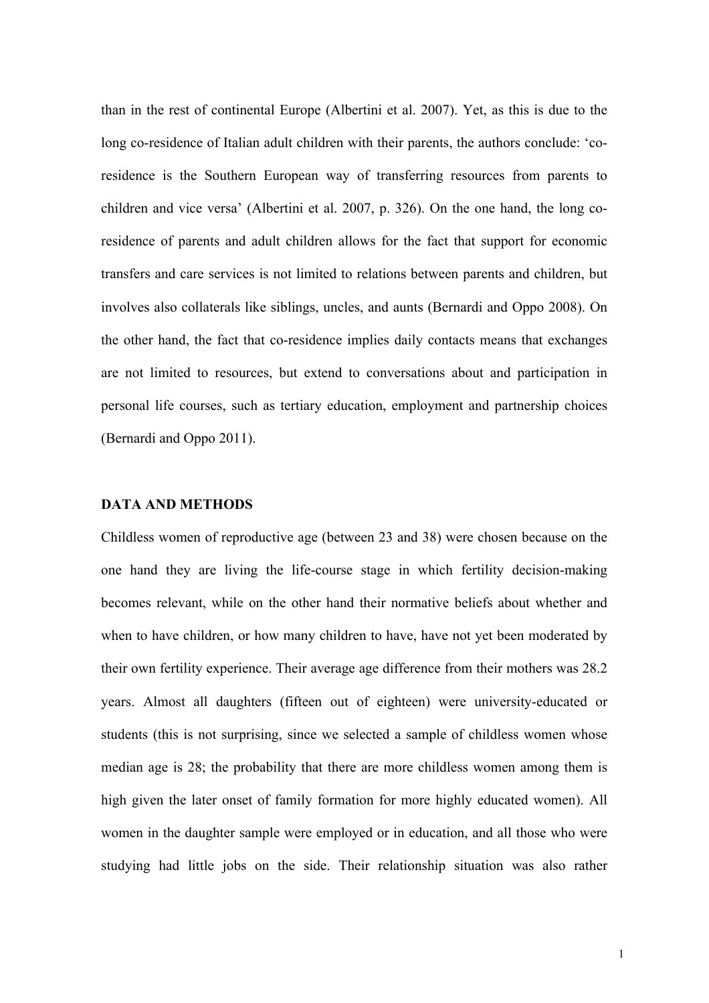than in the rest of continental Europe (Albertini et al. 2007). Yet, as this is due to the long co-residence of Italian adult children with their parents, the authors conclude: 'coresidence is the Southern European way of transferring resources from parents to children and vice versa' (Albertini et al. 2007, p. 326). On the one hand, the long coresidence of parents and adult children allows for the fact that support for economic transfers and care services is not limited to relations between parents and children, but involves also collaterals like siblings, uncles, and aunts (Bernardi and Oppo 2008). On the other hand, the fact that co-residence implies daily contacts means that exchanges are not limited to resources, but extend to conversations about and participation in personal life courses, such as tertiary education, employment and partnership choices (Bernardi and Oppo 2011).

#### **DATA AND METHODS**

Childless women of reproductive age (between 23 and 38) were chosen because on the one hand they are living the life-course stage in which fertility decision-making becomes relevant, while on the other hand their normative beliefs about whether and when to have children, or how many children to have, have not yet been moderated by their own fertility experience. Their average age difference from their mothers was 28.2 years. Almost all daughters (fifteen out of eighteen) were university-educated or students (this is not surprising, since we selected a sample of childless women whose median age is 28; the probability that there are more childless women among them is high given the later onset of family formation for more highly educated women). All women in the daughter sample were employed or in education, and all those who were studying had little jobs on the side. Their relationship situation was also rather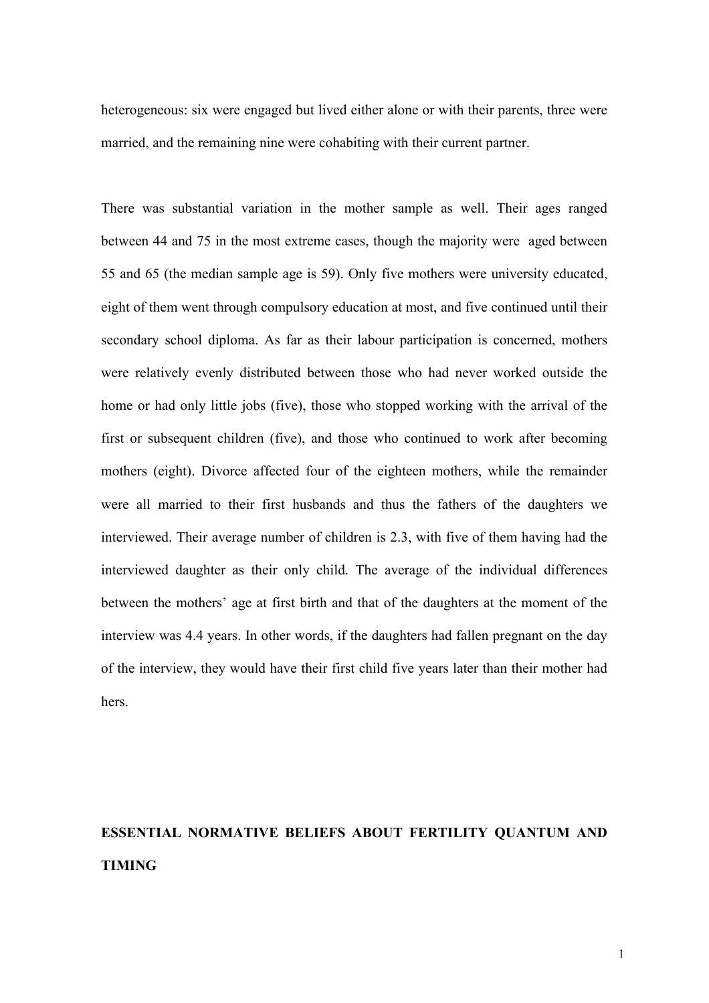heterogeneous: six were engaged but lived either alone or with their parents, three were married, and the remaining nine were cohabiting with their current partner.

There was substantial variation in the mother sample as well. Their ages ranged between 44 and 75 in the most extreme cases, though the majority were aged between 55 and 65 (the median sample age is 59). Only five mothers were university educated, eight of them went through compulsory education at most, and five continued until their secondary school diploma. As far as their labour participation is concerned, mothers were relatively evenly distributed between those who had never worked outside the home or had only little jobs (five), those who stopped working with the arrival of the first or subsequent children (five), and those who continued to work after becoming mothers (eight). Divorce affected four of the eighteen mothers, while the remainder were all married to their first husbands and thus the fathers of the daughters we interviewed. Their average number of children is 2.3, with five of them having had the interviewed daughter as their only child. The average of the individual differences between the mothers' age at first birth and that of the daughters at the moment of the interview was 4.4 years. In other words, if the daughters had fallen pregnant on the day of the interview, they would have their first child five years later than their mother had hers.

# **ESSENTIAL NORMATIVE BELIEFS ABOUT FERTILITY QUANTUM AND TIMING**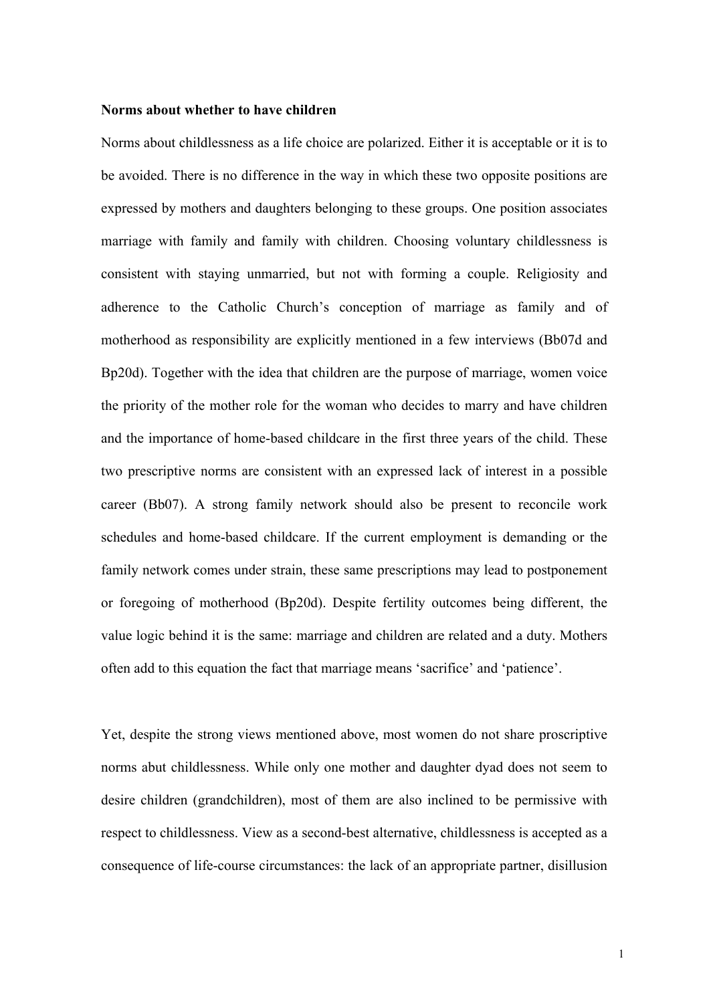#### **Norms about whether to have children**

Norms about childlessness as a life choice are polarized. Either it is acceptable or it is to be avoided. There is no difference in the way in which these two opposite positions are expressed by mothers and daughters belonging to these groups. One position associates marriage with family and family with children. Choosing voluntary childlessness is consistent with staying unmarried, but not with forming a couple. Religiosity and adherence to the Catholic Church's conception of marriage as family and of motherhood as responsibility are explicitly mentioned in a few interviews (Bb07d and Bp20d). Together with the idea that children are the purpose of marriage, women voice the priority of the mother role for the woman who decides to marry and have children and the importance of home-based childcare in the first three years of the child. These two prescriptive norms are consistent with an expressed lack of interest in a possible career (Bb07). A strong family network should also be present to reconcile work schedules and home-based childcare. If the current employment is demanding or the family network comes under strain, these same prescriptions may lead to postponement or foregoing of motherhood (Bp20d). Despite fertility outcomes being different, the value logic behind it is the same: marriage and children are related and a duty. Mothers often add to this equation the fact that marriage means 'sacrifice' and 'patience'.

Yet, despite the strong views mentioned above, most women do not share proscriptive norms abut childlessness. While only one mother and daughter dyad does not seem to desire children (grandchildren), most of them are also inclined to be permissive with respect to childlessness. View as a second-best alternative, childlessness is accepted as a consequence of life-course circumstances: the lack of an appropriate partner, disillusion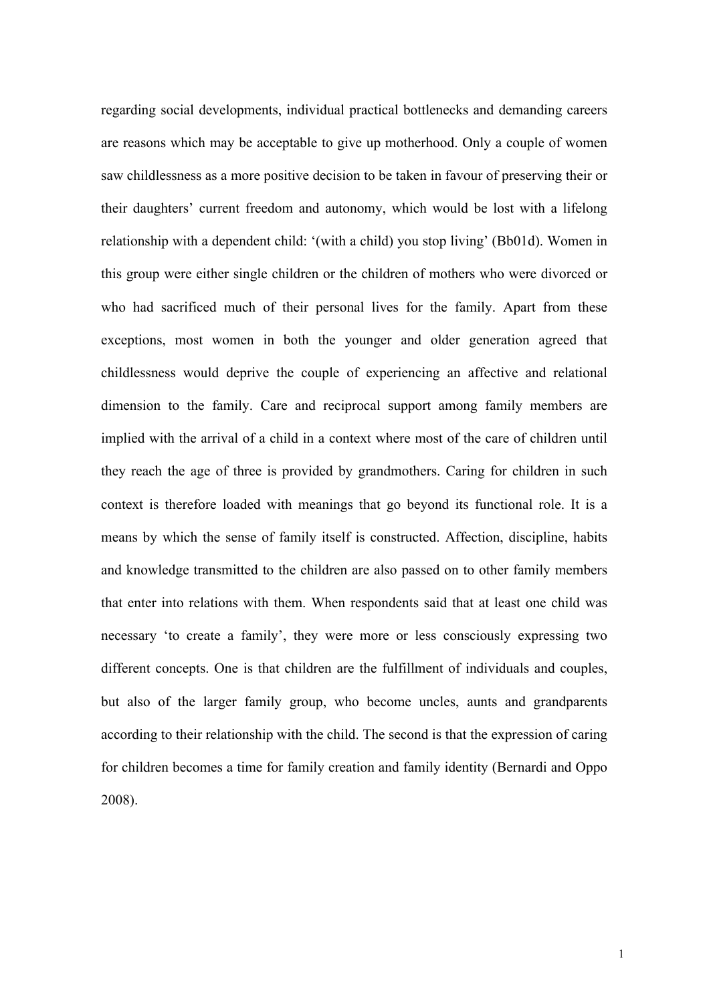regarding social developments, individual practical bottlenecks and demanding careers are reasons which may be acceptable to give up motherhood. Only a couple of women saw childlessness as a more positive decision to be taken in favour of preserving their or their daughters' current freedom and autonomy, which would be lost with a lifelong relationship with a dependent child: '(with a child) you stop living' (Bb01d). Women in this group were either single children or the children of mothers who were divorced or who had sacrificed much of their personal lives for the family. Apart from these exceptions, most women in both the younger and older generation agreed that childlessness would deprive the couple of experiencing an affective and relational dimension to the family. Care and reciprocal support among family members are implied with the arrival of a child in a context where most of the care of children until they reach the age of three is provided by grandmothers. Caring for children in such context is therefore loaded with meanings that go beyond its functional role. It is a means by which the sense of family itself is constructed. Affection, discipline, habits and knowledge transmitted to the children are also passed on to other family members that enter into relations with them. When respondents said that at least one child was necessary 'to create a family', they were more or less consciously expressing two different concepts. One is that children are the fulfillment of individuals and couples, but also of the larger family group, who become uncles, aunts and grandparents according to their relationship with the child. The second is that the expression of caring for children becomes a time for family creation and family identity (Bernardi and Oppo 2008).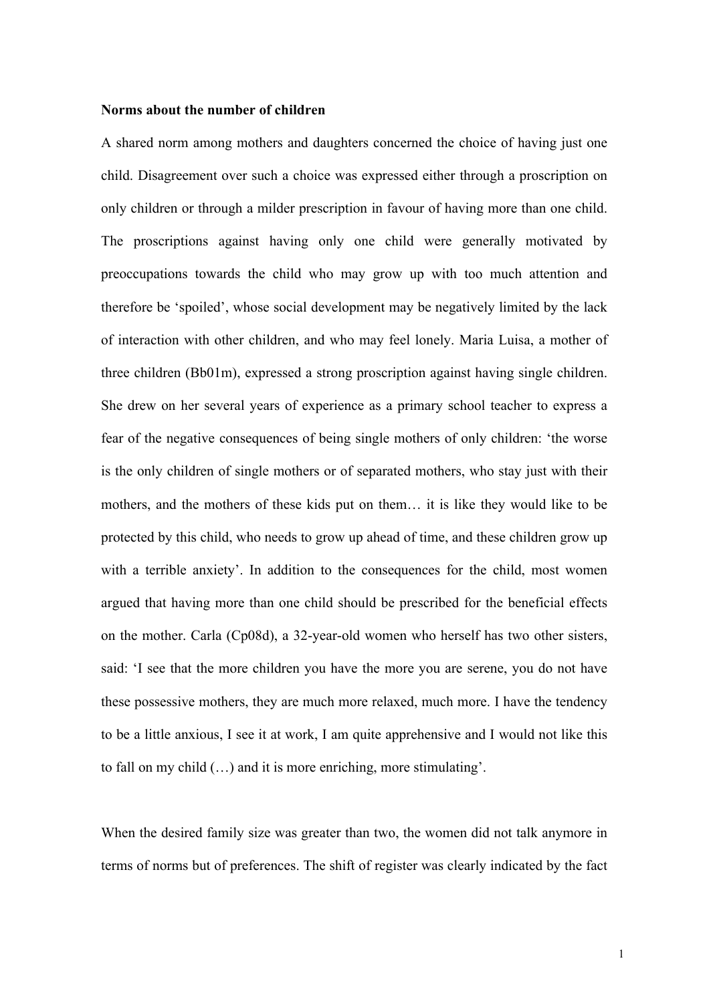#### **Norms about the number of children**

A shared norm among mothers and daughters concerned the choice of having just one child. Disagreement over such a choice was expressed either through a proscription on only children or through a milder prescription in favour of having more than one child. The proscriptions against having only one child were generally motivated by preoccupations towards the child who may grow up with too much attention and therefore be 'spoiled', whose social development may be negatively limited by the lack of interaction with other children, and who may feel lonely. Maria Luisa, a mother of three children (Bb01m), expressed a strong proscription against having single children. She drew on her several years of experience as a primary school teacher to express a fear of the negative consequences of being single mothers of only children: 'the worse is the only children of single mothers or of separated mothers, who stay just with their mothers, and the mothers of these kids put on them… it is like they would like to be protected by this child, who needs to grow up ahead of time, and these children grow up with a terrible anxiety'. In addition to the consequences for the child, most women argued that having more than one child should be prescribed for the beneficial effects on the mother. Carla (Cp08d), a 32-year-old women who herself has two other sisters, said: 'I see that the more children you have the more you are serene, you do not have these possessive mothers, they are much more relaxed, much more. I have the tendency to be a little anxious, I see it at work, I am quite apprehensive and I would not like this to fall on my child (…) and it is more enriching, more stimulating'.

When the desired family size was greater than two, the women did not talk anymore in terms of norms but of preferences. The shift of register was clearly indicated by the fact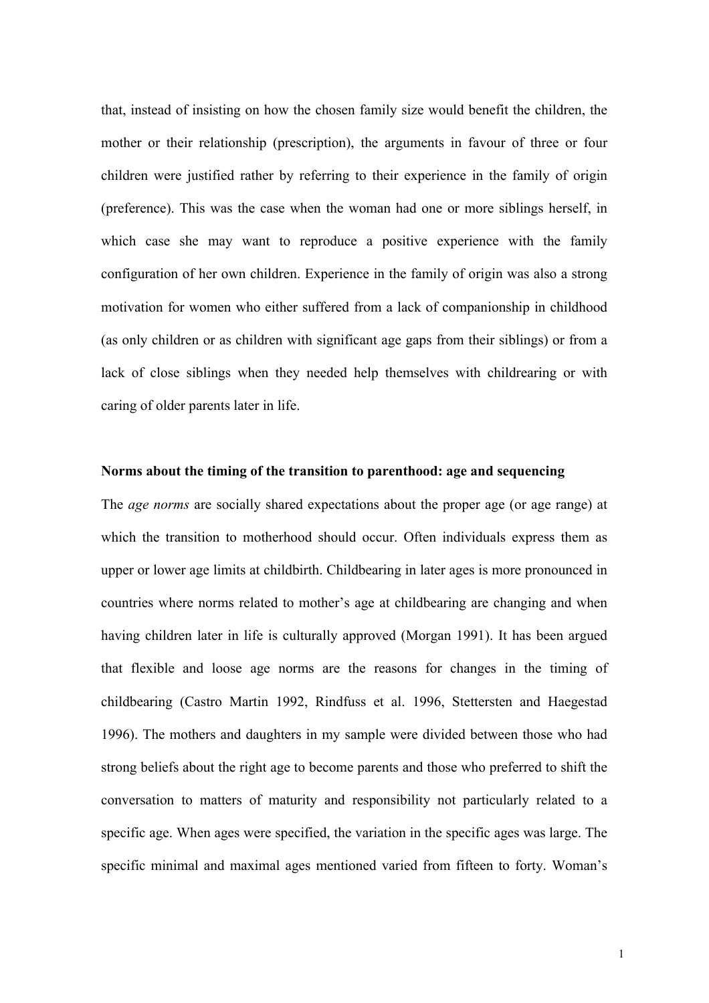that, instead of insisting on how the chosen family size would benefit the children, the mother or their relationship (prescription), the arguments in favour of three or four children were justified rather by referring to their experience in the family of origin (preference). This was the case when the woman had one or more siblings herself, in which case she may want to reproduce a positive experience with the family configuration of her own children. Experience in the family of origin was also a strong motivation for women who either suffered from a lack of companionship in childhood (as only children or as children with significant age gaps from their siblings) or from a lack of close siblings when they needed help themselves with childrearing or with caring of older parents later in life.

#### **Norms about the timing of the transition to parenthood: age and sequencing**

The *age norms* are socially shared expectations about the proper age (or age range) at which the transition to motherhood should occur. Often individuals express them as upper or lower age limits at childbirth. Childbearing in later ages is more pronounced in countries where norms related to mother's age at childbearing are changing and when having children later in life is culturally approved (Morgan 1991). It has been argued that flexible and loose age norms are the reasons for changes in the timing of childbearing (Castro Martin 1992, Rindfuss et al. 1996, Stettersten and Haegestad 1996). The mothers and daughters in my sample were divided between those who had strong beliefs about the right age to become parents and those who preferred to shift the conversation to matters of maturity and responsibility not particularly related to a specific age. When ages were specified, the variation in the specific ages was large. The specific minimal and maximal ages mentioned varied from fifteen to forty. Woman's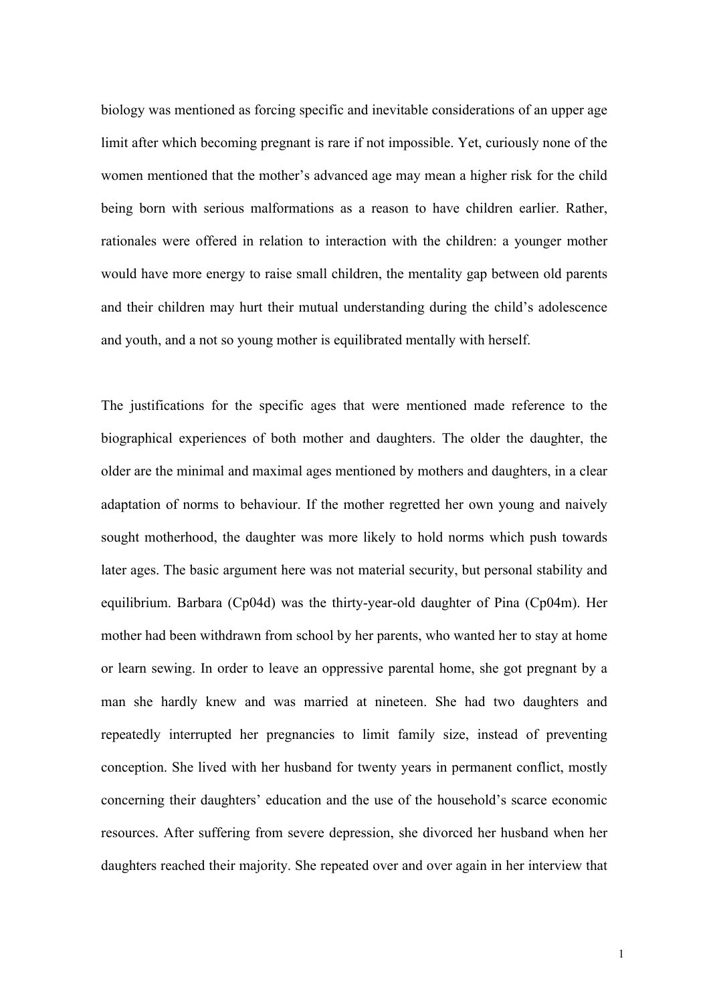biology was mentioned as forcing specific and inevitable considerations of an upper age limit after which becoming pregnant is rare if not impossible. Yet, curiously none of the women mentioned that the mother's advanced age may mean a higher risk for the child being born with serious malformations as a reason to have children earlier. Rather, rationales were offered in relation to interaction with the children: a younger mother would have more energy to raise small children, the mentality gap between old parents and their children may hurt their mutual understanding during the child's adolescence and youth, and a not so young mother is equilibrated mentally with herself.

The justifications for the specific ages that were mentioned made reference to the biographical experiences of both mother and daughters. The older the daughter, the older are the minimal and maximal ages mentioned by mothers and daughters, in a clear adaptation of norms to behaviour. If the mother regretted her own young and naively sought motherhood, the daughter was more likely to hold norms which push towards later ages. The basic argument here was not material security, but personal stability and equilibrium. Barbara (Cp04d) was the thirty-year-old daughter of Pina (Cp04m). Her mother had been withdrawn from school by her parents, who wanted her to stay at home or learn sewing. In order to leave an oppressive parental home, she got pregnant by a man she hardly knew and was married at nineteen. She had two daughters and repeatedly interrupted her pregnancies to limit family size, instead of preventing conception. She lived with her husband for twenty years in permanent conflict, mostly concerning their daughters' education and the use of the household's scarce economic resources. After suffering from severe depression, she divorced her husband when her daughters reached their majority. She repeated over and over again in her interview that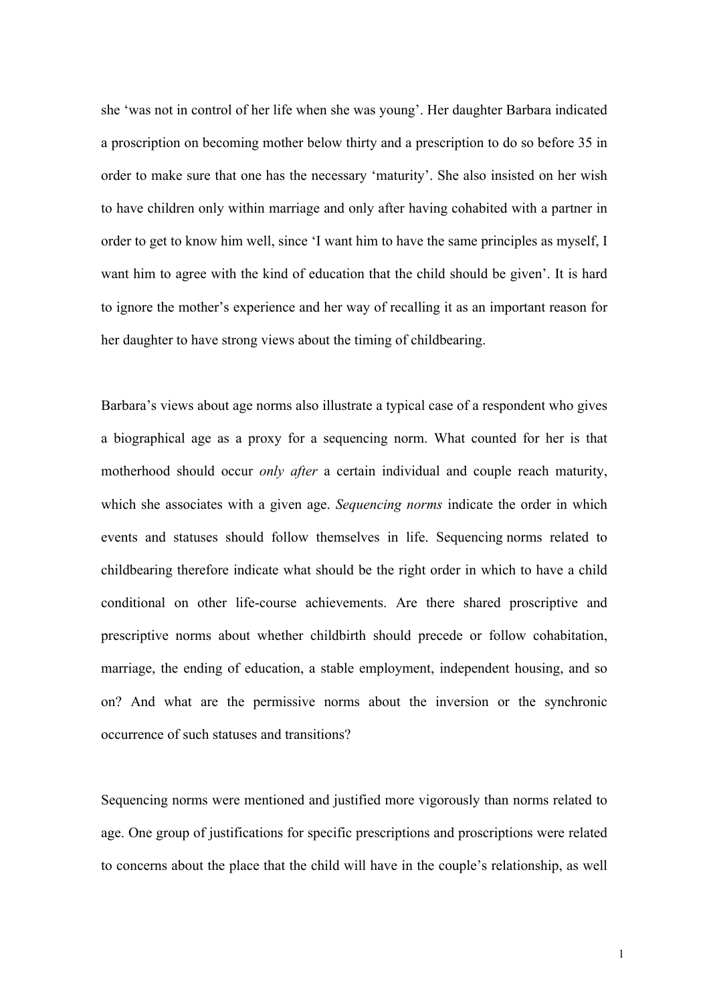she 'was not in control of her life when she was young'. Her daughter Barbara indicated a proscription on becoming mother below thirty and a prescription to do so before 35 in order to make sure that one has the necessary 'maturity'. She also insisted on her wish to have children only within marriage and only after having cohabited with a partner in order to get to know him well, since 'I want him to have the same principles as myself, I want him to agree with the kind of education that the child should be given'. It is hard to ignore the mother's experience and her way of recalling it as an important reason for her daughter to have strong views about the timing of childbearing.

Barbara's views about age norms also illustrate a typical case of a respondent who gives a biographical age as a proxy for a sequencing norm. What counted for her is that motherhood should occur *only after* a certain individual and couple reach maturity, which she associates with a given age. *Sequencing norms* indicate the order in which events and statuses should follow themselves in life. Sequencing norms related to childbearing therefore indicate what should be the right order in which to have a child conditional on other life-course achievements. Are there shared proscriptive and prescriptive norms about whether childbirth should precede or follow cohabitation, marriage, the ending of education, a stable employment, independent housing, and so on? And what are the permissive norms about the inversion or the synchronic occurrence of such statuses and transitions?

Sequencing norms were mentioned and justified more vigorously than norms related to age. One group of justifications for specific prescriptions and proscriptions were related to concerns about the place that the child will have in the couple's relationship, as well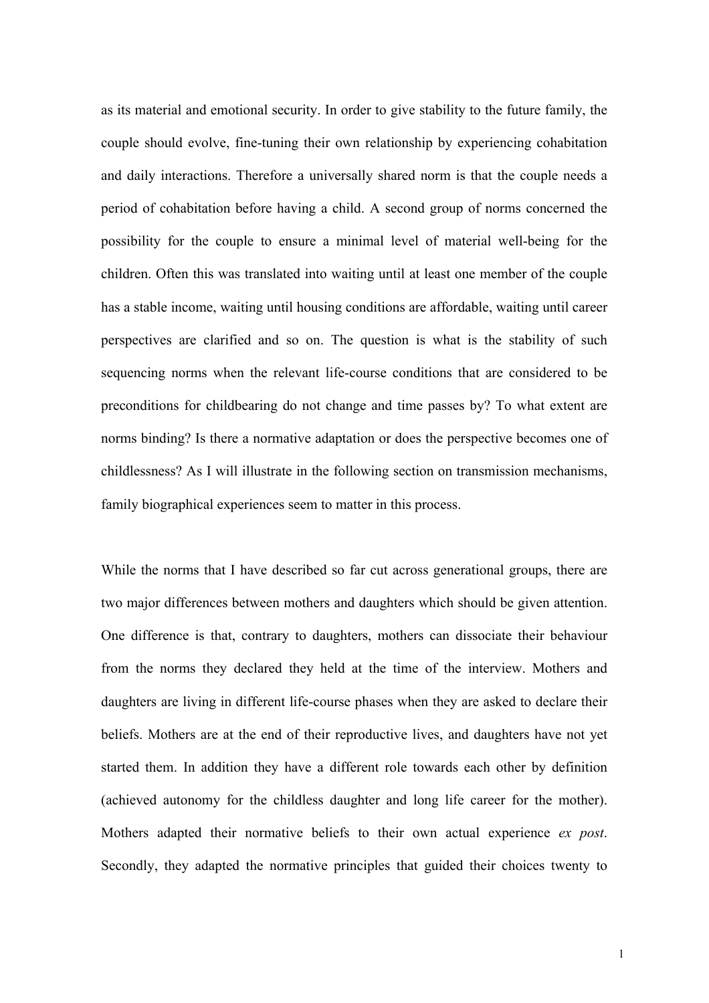as its material and emotional security. In order to give stability to the future family, the couple should evolve, fine-tuning their own relationship by experiencing cohabitation and daily interactions. Therefore a universally shared norm is that the couple needs a period of cohabitation before having a child. A second group of norms concerned the possibility for the couple to ensure a minimal level of material well-being for the children. Often this was translated into waiting until at least one member of the couple has a stable income, waiting until housing conditions are affordable, waiting until career perspectives are clarified and so on. The question is what is the stability of such sequencing norms when the relevant life-course conditions that are considered to be preconditions for childbearing do not change and time passes by? To what extent are norms binding? Is there a normative adaptation or does the perspective becomes one of childlessness? As I will illustrate in the following section on transmission mechanisms, family biographical experiences seem to matter in this process.

While the norms that I have described so far cut across generational groups, there are two major differences between mothers and daughters which should be given attention. One difference is that, contrary to daughters, mothers can dissociate their behaviour from the norms they declared they held at the time of the interview. Mothers and daughters are living in different life-course phases when they are asked to declare their beliefs. Mothers are at the end of their reproductive lives, and daughters have not yet started them. In addition they have a different role towards each other by definition (achieved autonomy for the childless daughter and long life career for the mother). Mothers adapted their normative beliefs to their own actual experience *ex post*. Secondly, they adapted the normative principles that guided their choices twenty to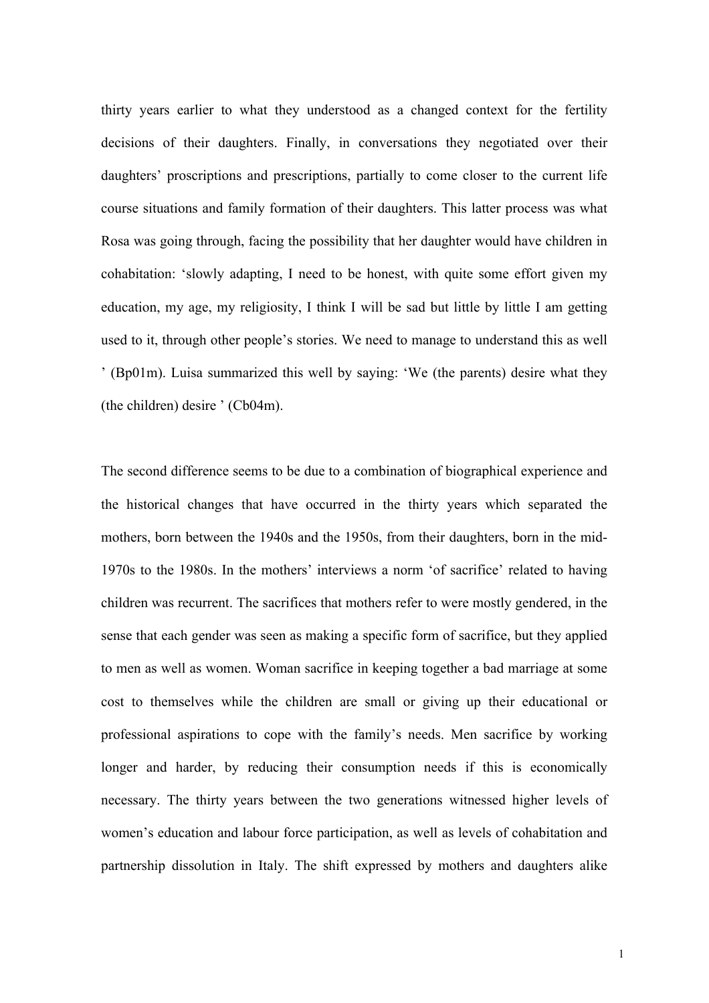thirty years earlier to what they understood as a changed context for the fertility decisions of their daughters. Finally, in conversations they negotiated over their daughters' proscriptions and prescriptions, partially to come closer to the current life course situations and family formation of their daughters. This latter process was what Rosa was going through, facing the possibility that her daughter would have children in cohabitation: 'slowly adapting, I need to be honest, with quite some effort given my education, my age, my religiosity, I think I will be sad but little by little I am getting used to it, through other people's stories. We need to manage to understand this as well ' (Bp01m). Luisa summarized this well by saying: 'We (the parents) desire what they (the children) desire ' (Cb04m).

The second difference seems to be due to a combination of biographical experience and the historical changes that have occurred in the thirty years which separated the mothers, born between the 1940s and the 1950s, from their daughters, born in the mid-1970s to the 1980s. In the mothers' interviews a norm 'of sacrifice' related to having children was recurrent. The sacrifices that mothers refer to were mostly gendered, in the sense that each gender was seen as making a specific form of sacrifice, but they applied to men as well as women. Woman sacrifice in keeping together a bad marriage at some cost to themselves while the children are small or giving up their educational or professional aspirations to cope with the family's needs. Men sacrifice by working longer and harder, by reducing their consumption needs if this is economically necessary. The thirty years between the two generations witnessed higher levels of women's education and labour force participation, as well as levels of cohabitation and partnership dissolution in Italy. The shift expressed by mothers and daughters alike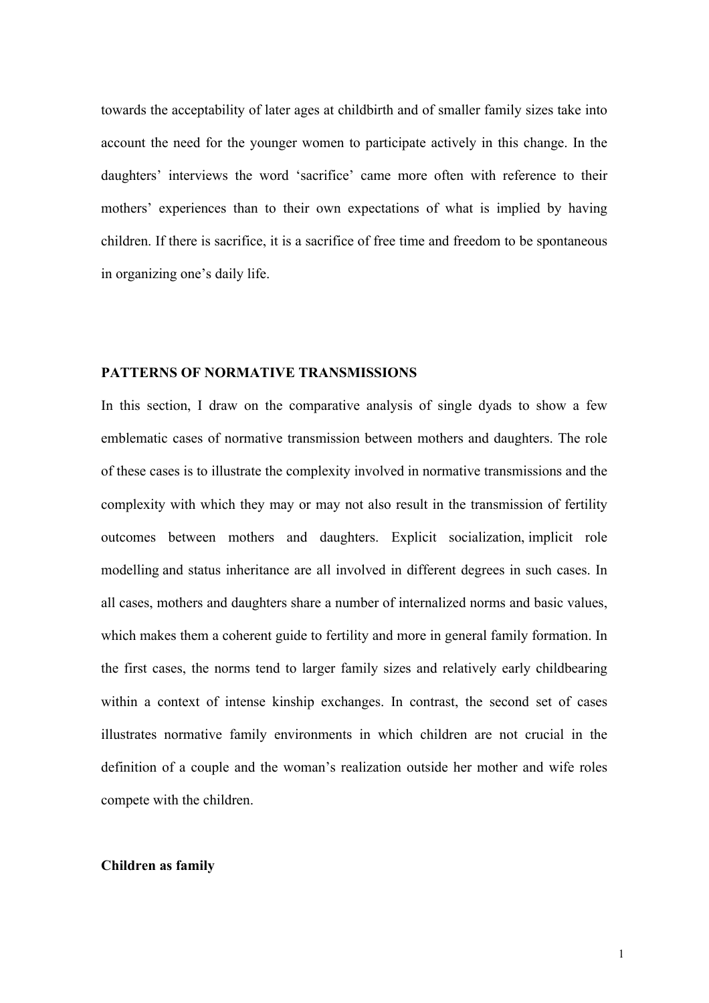towards the acceptability of later ages at childbirth and of smaller family sizes take into account the need for the younger women to participate actively in this change. In the daughters' interviews the word 'sacrifice' came more often with reference to their mothers' experiences than to their own expectations of what is implied by having children. If there is sacrifice, it is a sacrifice of free time and freedom to be spontaneous in organizing one's daily life.

#### **PATTERNS OF NORMATIVE TRANSMISSIONS**

In this section, I draw on the comparative analysis of single dyads to show a few emblematic cases of normative transmission between mothers and daughters. The role of these cases is to illustrate the complexity involved in normative transmissions and the complexity with which they may or may not also result in the transmission of fertility outcomes between mothers and daughters. Explicit socialization, implicit role modelling and status inheritance are all involved in different degrees in such cases. In all cases, mothers and daughters share a number of internalized norms and basic values, which makes them a coherent guide to fertility and more in general family formation. In the first cases, the norms tend to larger family sizes and relatively early childbearing within a context of intense kinship exchanges. In contrast, the second set of cases illustrates normative family environments in which children are not crucial in the definition of a couple and the woman's realization outside her mother and wife roles compete with the children.

#### **Children as family**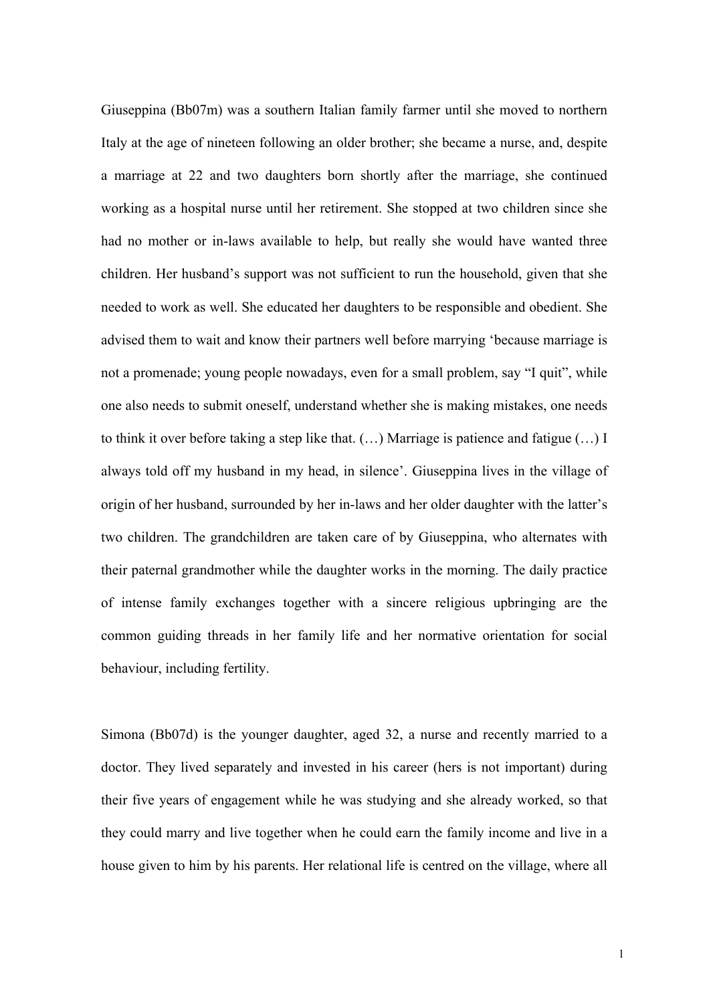Giuseppina (Bb07m) was a southern Italian family farmer until she moved to northern Italy at the age of nineteen following an older brother; she became a nurse, and, despite a marriage at 22 and two daughters born shortly after the marriage, she continued working as a hospital nurse until her retirement. She stopped at two children since she had no mother or in-laws available to help, but really she would have wanted three children. Her husband's support was not sufficient to run the household, given that she needed to work as well. She educated her daughters to be responsible and obedient. She advised them to wait and know their partners well before marrying 'because marriage is not a promenade; young people nowadays, even for a small problem, say "I quit", while one also needs to submit oneself, understand whether she is making mistakes, one needs to think it over before taking a step like that. (…) Marriage is patience and fatigue (…) I always told off my husband in my head, in silence'. Giuseppina lives in the village of origin of her husband, surrounded by her in-laws and her older daughter with the latter's two children. The grandchildren are taken care of by Giuseppina, who alternates with their paternal grandmother while the daughter works in the morning. The daily practice of intense family exchanges together with a sincere religious upbringing are the common guiding threads in her family life and her normative orientation for social behaviour, including fertility.

Simona (Bb07d) is the younger daughter, aged 32, a nurse and recently married to a doctor. They lived separately and invested in his career (hers is not important) during their five years of engagement while he was studying and she already worked, so that they could marry and live together when he could earn the family income and live in a house given to him by his parents. Her relational life is centred on the village, where all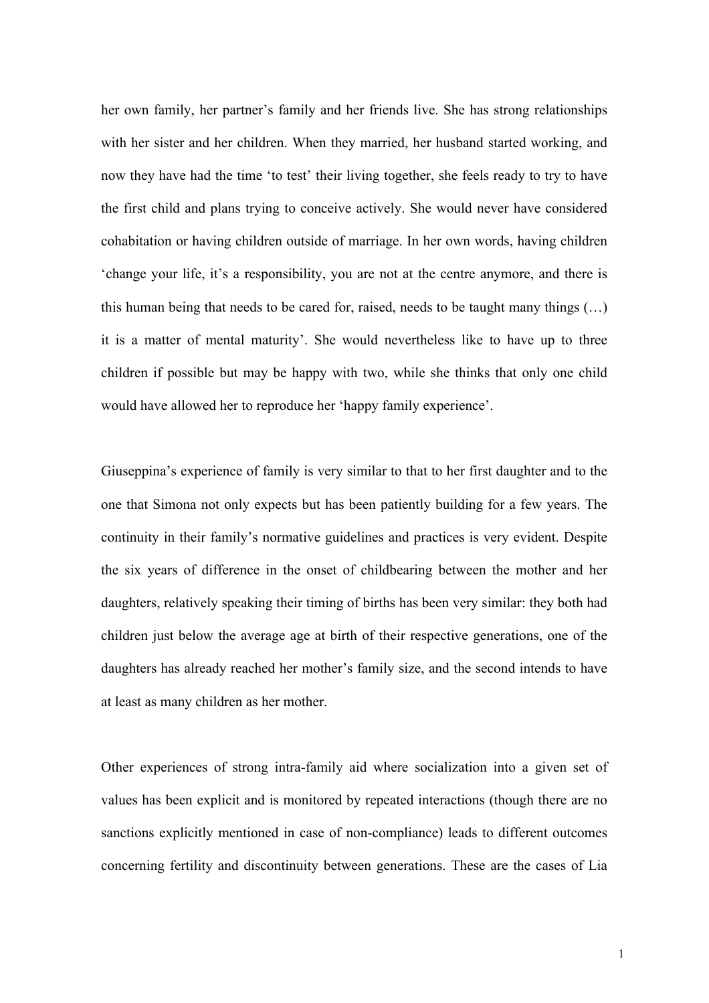her own family, her partner's family and her friends live. She has strong relationships with her sister and her children. When they married, her husband started working, and now they have had the time 'to test' their living together, she feels ready to try to have the first child and plans trying to conceive actively. She would never have considered cohabitation or having children outside of marriage. In her own words, having children 'change your life, it's a responsibility, you are not at the centre anymore, and there is this human being that needs to be cared for, raised, needs to be taught many things (…) it is a matter of mental maturity'. She would nevertheless like to have up to three children if possible but may be happy with two, while she thinks that only one child would have allowed her to reproduce her 'happy family experience'.

Giuseppina's experience of family is very similar to that to her first daughter and to the one that Simona not only expects but has been patiently building for a few years. The continuity in their family's normative guidelines and practices is very evident. Despite the six years of difference in the onset of childbearing between the mother and her daughters, relatively speaking their timing of births has been very similar: they both had children just below the average age at birth of their respective generations, one of the daughters has already reached her mother's family size, and the second intends to have at least as many children as her mother.

Other experiences of strong intra-family aid where socialization into a given set of values has been explicit and is monitored by repeated interactions (though there are no sanctions explicitly mentioned in case of non-compliance) leads to different outcomes concerning fertility and discontinuity between generations. These are the cases of Lia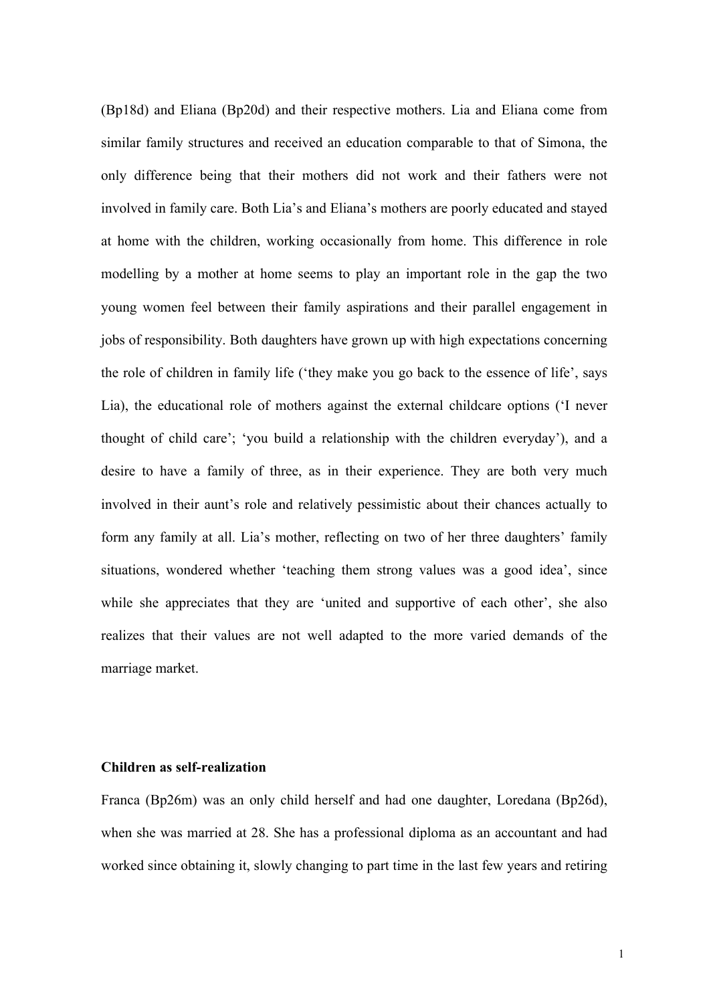(Bp18d) and Eliana (Bp20d) and their respective mothers. Lia and Eliana come from similar family structures and received an education comparable to that of Simona, the only difference being that their mothers did not work and their fathers were not involved in family care. Both Lia's and Eliana's mothers are poorly educated and stayed at home with the children, working occasionally from home. This difference in role modelling by a mother at home seems to play an important role in the gap the two young women feel between their family aspirations and their parallel engagement in jobs of responsibility. Both daughters have grown up with high expectations concerning the role of children in family life ('they make you go back to the essence of life', says Lia), the educational role of mothers against the external childcare options ('I never thought of child care'; 'you build a relationship with the children everyday'), and a desire to have a family of three, as in their experience. They are both very much involved in their aunt's role and relatively pessimistic about their chances actually to form any family at all. Lia's mother, reflecting on two of her three daughters' family situations, wondered whether 'teaching them strong values was a good idea', since while she appreciates that they are 'united and supportive of each other', she also realizes that their values are not well adapted to the more varied demands of the marriage market.

## **Children as self-realization**

Franca (Bp26m) was an only child herself and had one daughter, Loredana (Bp26d), when she was married at 28. She has a professional diploma as an accountant and had worked since obtaining it, slowly changing to part time in the last few years and retiring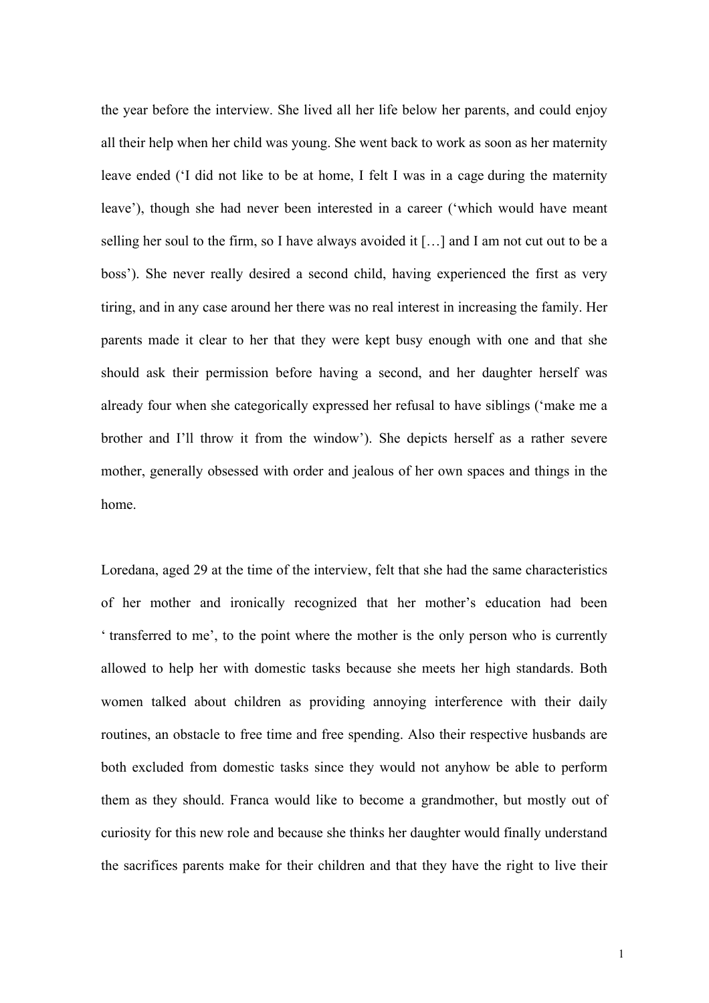the year before the interview. She lived all her life below her parents, and could enjoy all their help when her child was young. She went back to work as soon as her maternity leave ended ('I did not like to be at home, I felt I was in a cage during the maternity leave'), though she had never been interested in a career ('which would have meant selling her soul to the firm, so I have always avoided it […] and I am not cut out to be a boss'). She never really desired a second child, having experienced the first as very tiring, and in any case around her there was no real interest in increasing the family. Her parents made it clear to her that they were kept busy enough with one and that she should ask their permission before having a second, and her daughter herself was already four when she categorically expressed her refusal to have siblings ('make me a brother and I'll throw it from the window'). She depicts herself as a rather severe mother, generally obsessed with order and jealous of her own spaces and things in the home.

Loredana, aged 29 at the time of the interview, felt that she had the same characteristics of her mother and ironically recognized that her mother's education had been ' transferred to me', to the point where the mother is the only person who is currently allowed to help her with domestic tasks because she meets her high standards. Both women talked about children as providing annoying interference with their daily routines, an obstacle to free time and free spending. Also their respective husbands are both excluded from domestic tasks since they would not anyhow be able to perform them as they should. Franca would like to become a grandmother, but mostly out of curiosity for this new role and because she thinks her daughter would finally understand the sacrifices parents make for their children and that they have the right to live their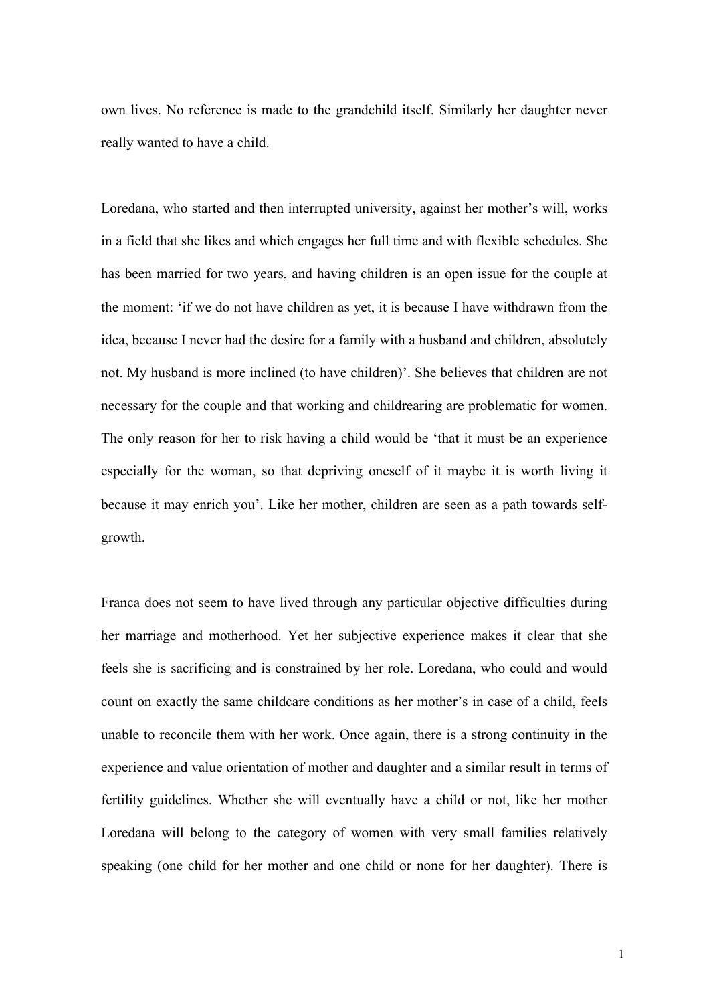own lives. No reference is made to the grandchild itself. Similarly her daughter never really wanted to have a child.

Loredana, who started and then interrupted university, against her mother's will, works in a field that she likes and which engages her full time and with flexible schedules. She has been married for two years, and having children is an open issue for the couple at the moment: 'if we do not have children as yet, it is because I have withdrawn from the idea, because I never had the desire for a family with a husband and children, absolutely not. My husband is more inclined (to have children)'. She believes that children are not necessary for the couple and that working and childrearing are problematic for women. The only reason for her to risk having a child would be 'that it must be an experience especially for the woman, so that depriving oneself of it maybe it is worth living it because it may enrich you'. Like her mother, children are seen as a path towards selfgrowth.

Franca does not seem to have lived through any particular objective difficulties during her marriage and motherhood. Yet her subjective experience makes it clear that she feels she is sacrificing and is constrained by her role. Loredana, who could and would count on exactly the same childcare conditions as her mother's in case of a child, feels unable to reconcile them with her work. Once again, there is a strong continuity in the experience and value orientation of mother and daughter and a similar result in terms of fertility guidelines. Whether she will eventually have a child or not, like her mother Loredana will belong to the category of women with very small families relatively speaking (one child for her mother and one child or none for her daughter). There is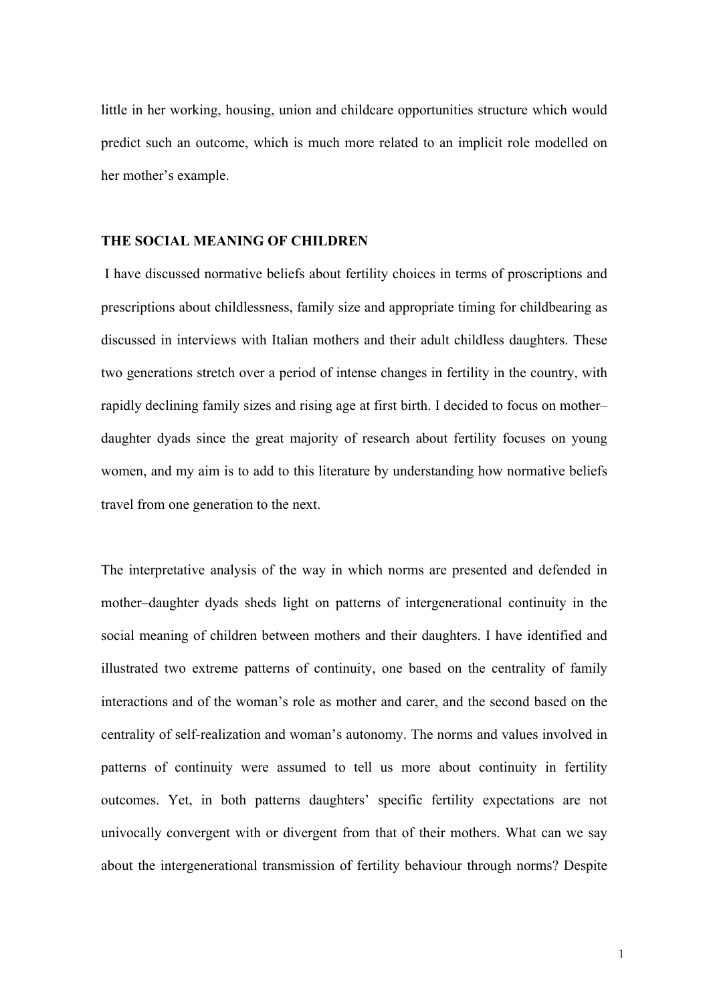little in her working, housing, union and childcare opportunities structure which would predict such an outcome, which is much more related to an implicit role modelled on her mother's example.

## **THE SOCIAL MEANING OF CHILDREN**

I have discussed normative beliefs about fertility choices in terms of proscriptions and prescriptions about childlessness, family size and appropriate timing for childbearing as discussed in interviews with Italian mothers and their adult childless daughters. These two generations stretch over a period of intense changes in fertility in the country, with rapidly declining family sizes and rising age at first birth. I decided to focus on mother– daughter dyads since the great majority of research about fertility focuses on young women, and my aim is to add to this literature by understanding how normative beliefs travel from one generation to the next.

The interpretative analysis of the way in which norms are presented and defended in mother–daughter dyads sheds light on patterns of intergenerational continuity in the social meaning of children between mothers and their daughters. I have identified and illustrated two extreme patterns of continuity, one based on the centrality of family interactions and of the woman's role as mother and carer, and the second based on the centrality of self-realization and woman's autonomy. The norms and values involved in patterns of continuity were assumed to tell us more about continuity in fertility outcomes. Yet, in both patterns daughters' specific fertility expectations are not univocally convergent with or divergent from that of their mothers. What can we say about the intergenerational transmission of fertility behaviour through norms? Despite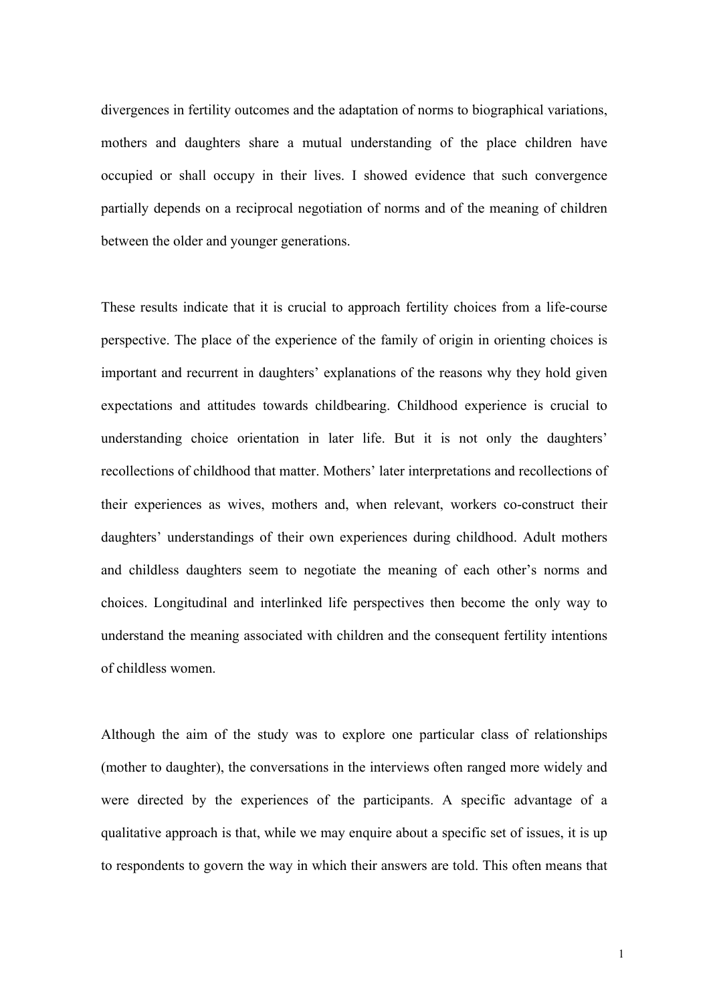divergences in fertility outcomes and the adaptation of norms to biographical variations, mothers and daughters share a mutual understanding of the place children have occupied or shall occupy in their lives. I showed evidence that such convergence partially depends on a reciprocal negotiation of norms and of the meaning of children between the older and younger generations.

These results indicate that it is crucial to approach fertility choices from a life-course perspective. The place of the experience of the family of origin in orienting choices is important and recurrent in daughters' explanations of the reasons why they hold given expectations and attitudes towards childbearing. Childhood experience is crucial to understanding choice orientation in later life. But it is not only the daughters' recollections of childhood that matter. Mothers' later interpretations and recollections of their experiences as wives, mothers and, when relevant, workers co-construct their daughters' understandings of their own experiences during childhood. Adult mothers and childless daughters seem to negotiate the meaning of each other's norms and choices. Longitudinal and interlinked life perspectives then become the only way to understand the meaning associated with children and the consequent fertility intentions of childless women.

Although the aim of the study was to explore one particular class of relationships (mother to daughter), the conversations in the interviews often ranged more widely and were directed by the experiences of the participants. A specific advantage of a qualitative approach is that, while we may enquire about a specific set of issues, it is up to respondents to govern the way in which their answers are told. This often means that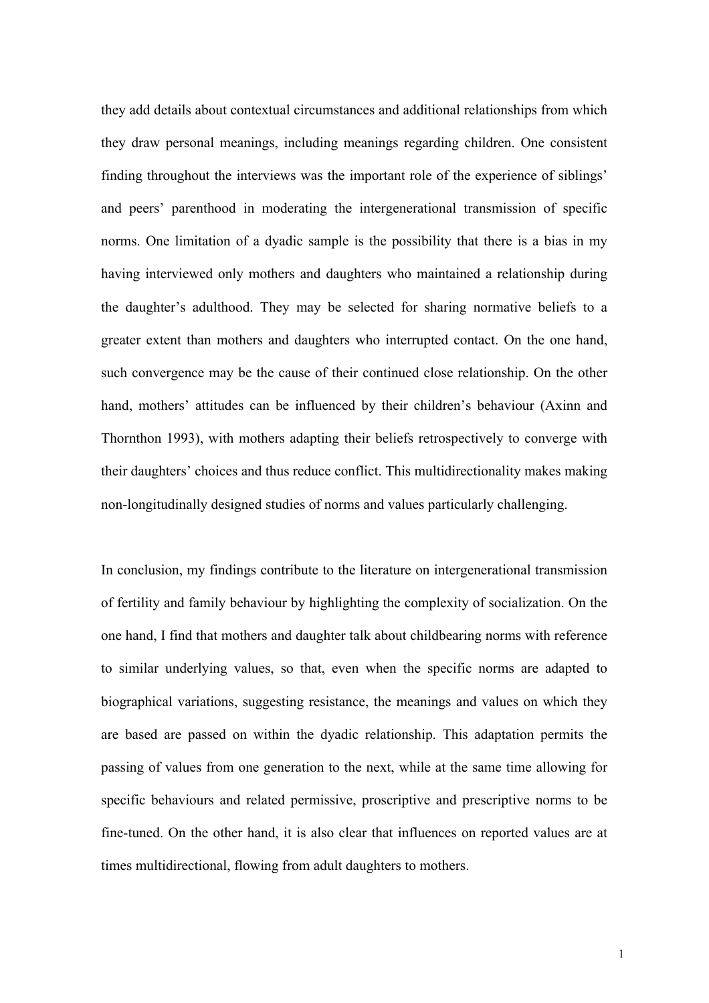they add details about contextual circumstances and additional relationships from which they draw personal meanings, including meanings regarding children. One consistent finding throughout the interviews was the important role of the experience of siblings' and peers' parenthood in moderating the intergenerational transmission of specific norms. One limitation of a dyadic sample is the possibility that there is a bias in my having interviewed only mothers and daughters who maintained a relationship during the daughter's adulthood. They may be selected for sharing normative beliefs to a greater extent than mothers and daughters who interrupted contact. On the one hand, such convergence may be the cause of their continued close relationship. On the other hand, mothers' attitudes can be influenced by their children's behaviour (Axinn and Thornthon 1993), with mothers adapting their beliefs retrospectively to converge with their daughters' choices and thus reduce conflict. This multidirectionality makes making non-longitudinally designed studies of norms and values particularly challenging.

In conclusion, my findings contribute to the literature on intergenerational transmission of fertility and family behaviour by highlighting the complexity of socialization. On the one hand, I find that mothers and daughter talk about childbearing norms with reference to similar underlying values, so that, even when the specific norms are adapted to biographical variations, suggesting resistance, the meanings and values on which they are based are passed on within the dyadic relationship. This adaptation permits the passing of values from one generation to the next, while at the same time allowing for specific behaviours and related permissive, proscriptive and prescriptive norms to be fine-tuned. On the other hand, it is also clear that influences on reported values are at times multidirectional, flowing from adult daughters to mothers.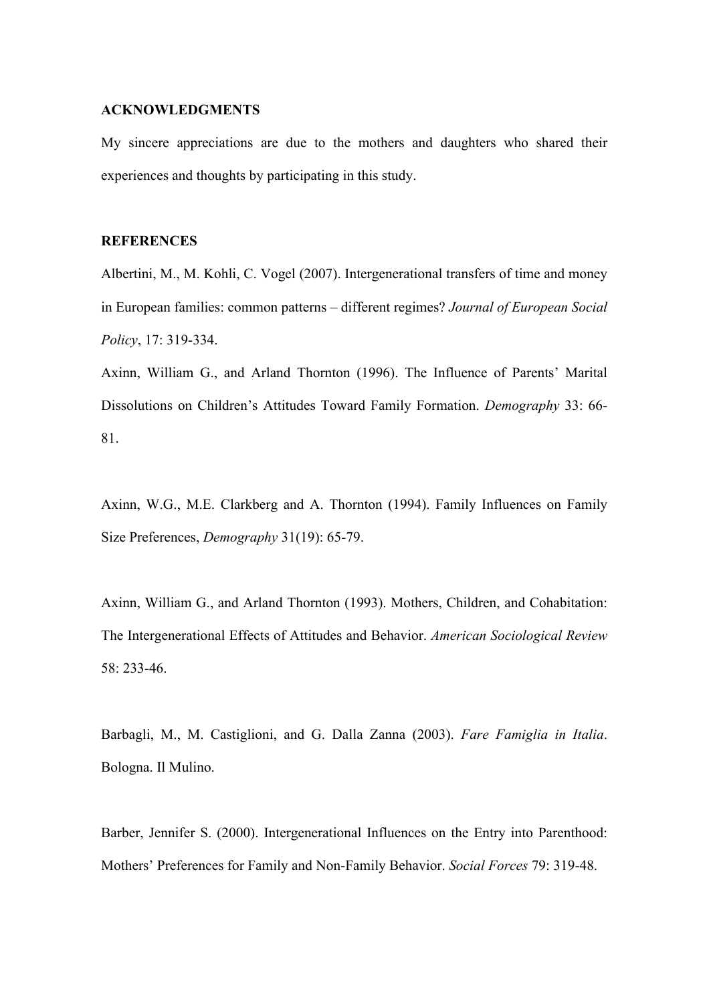#### **ACKNOWLEDGMENTS**

My sincere appreciations are due to the mothers and daughters who shared their experiences and thoughts by participating in this study.

## **REFERENCES**

Albertini, M., M. Kohli, C. Vogel (2007). Intergenerational transfers of time and money in European families: common patterns – different regimes? *Journal of European Social Policy*, 17: 319-334.

Axinn, William G., and Arland Thornton (1996). The Influence of Parents' Marital Dissolutions on Children's Attitudes Toward Family Formation. *Demography* 33: 66- 81.

Axinn, W.G., M.E. Clarkberg and A. Thornton (1994). Family Influences on Family Size Preferences, *Demography* 31(19): 65-79.

Axinn, William G., and Arland Thornton (1993). Mothers, Children, and Cohabitation: The Intergenerational Effects of Attitudes and Behavior. *American Sociological Review*  58: 233-46.

Barbagli, M., M. Castiglioni, and G. Dalla Zanna (2003). *Fare Famiglia in Italia*. Bologna. Il Mulino.

Barber, Jennifer S. (2000). Intergenerational Influences on the Entry into Parenthood: Mothers' Preferences for Family and Non-Family Behavior. *Social Forces* 79: 319-48.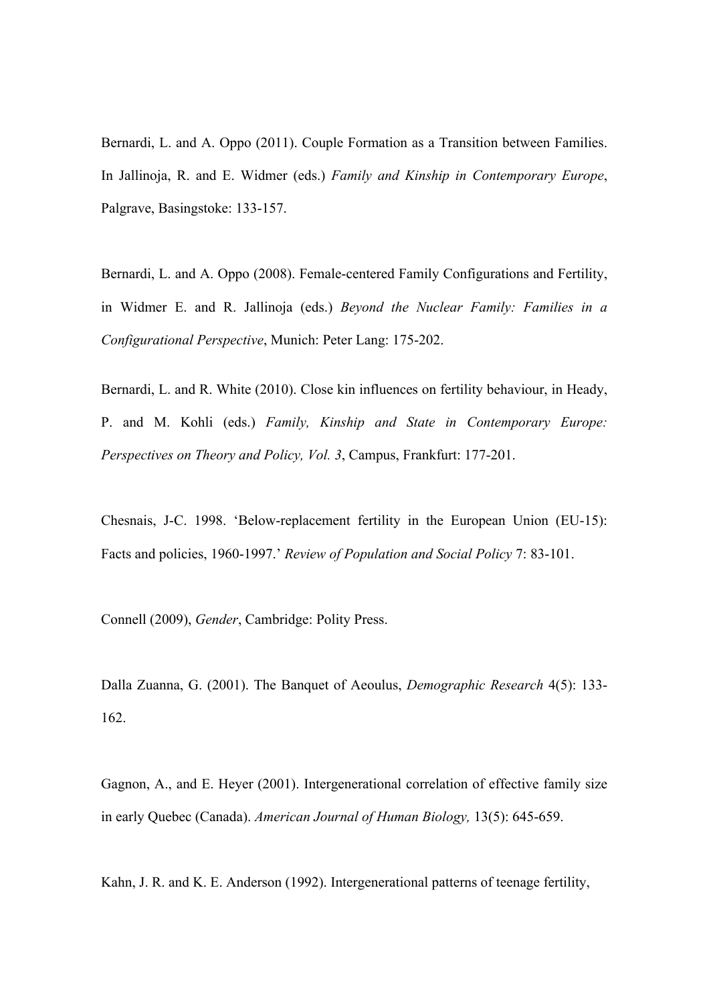Bernardi, L. and A. Oppo (2011). Couple Formation as a Transition between Families. In Jallinoja, R. and E. Widmer (eds.) *Family and Kinship in Contemporary Europe*, Palgrave, Basingstoke: 133-157.

Bernardi, L. and A. Oppo (2008). Female-centered Family Configurations and Fertility, in Widmer E. and R. Jallinoja (eds.) *Beyond the Nuclear Family: Families in a Configurational Perspective*, Munich: Peter Lang: 175-202.

Bernardi, L. and R. White (2010). Close kin influences on fertility behaviour, in Heady, P. and M. Kohli (eds.) *Family, Kinship and State in Contemporary Europe: Perspectives on Theory and Policy, Vol. 3*, Campus, Frankfurt: 177-201.

Chesnais, J-C. 1998. 'Below-replacement fertility in the European Union (EU-15): Facts and policies, 1960-1997.' *Review of Population and Social Policy* 7: 83-101.

Connell (2009), *Gender*, Cambridge: Polity Press.

Dalla Zuanna, G. (2001). The Banquet of Aeoulus, *Demographic Research* 4(5): 133- 162.

Gagnon, A., and E. Heyer (2001). Intergenerational correlation of effective family size in early Quebec (Canada). *American Journal of Human Biology,* 13(5): 645-659.

Kahn, J. R. and K. E. Anderson (1992). Intergenerational patterns of teenage fertility,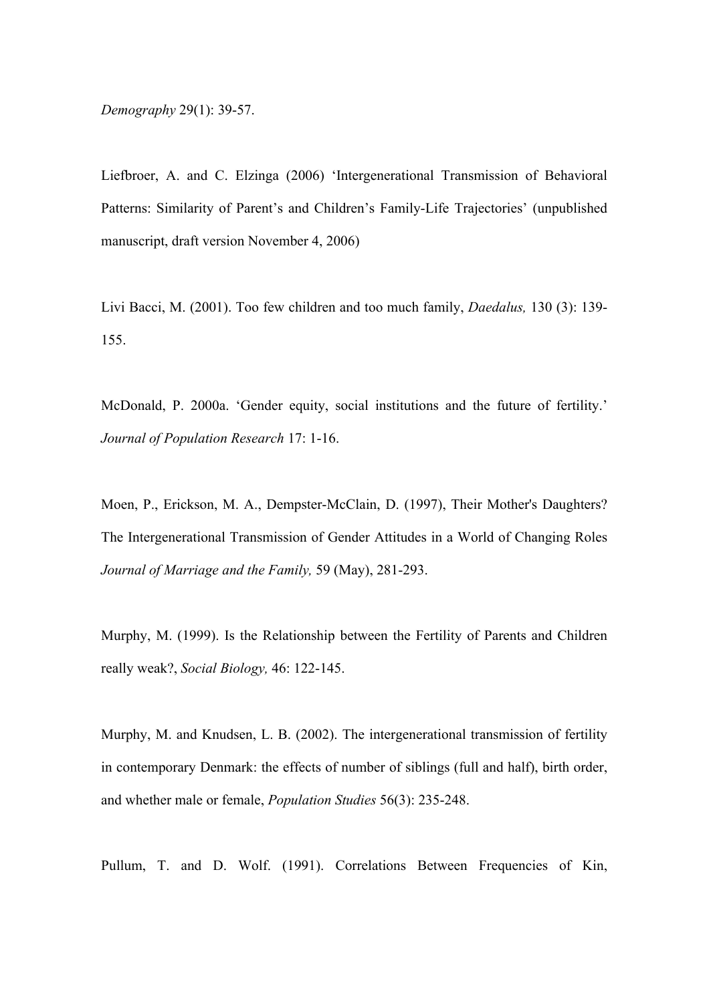*Demography* 29(1): 39-57.

Liefbroer, A. and C. Elzinga (2006) 'Intergenerational Transmission of Behavioral Patterns: Similarity of Parent's and Children's Family-Life Trajectories' (unpublished manuscript, draft version November 4, 2006)

Livi Bacci, M. (2001). Too few children and too much family, *Daedalus,* 130 (3): 139- 155.

McDonald, P. 2000a. 'Gender equity, social institutions and the future of fertility.' *Journal of Population Research* 17: 1-16.

Moen, P., Erickson, M. A., Dempster-McClain, D. (1997), Their Mother's Daughters? The Intergenerational Transmission of Gender Attitudes in a World of Changing Roles *Journal of Marriage and the Family,* 59 (May), 281-293.

Murphy, M. (1999). Is the Relationship between the Fertility of Parents and Children really weak?, *Social Biology,* 46: 122-145.

Murphy, M. and Knudsen, L. B. (2002). The intergenerational transmission of fertility in contemporary Denmark: the effects of number of siblings (full and half), birth order, and whether male or female, *Population Studies* 56(3): 235-248.

Pullum, T. and D. Wolf. (1991). Correlations Between Frequencies of Kin,